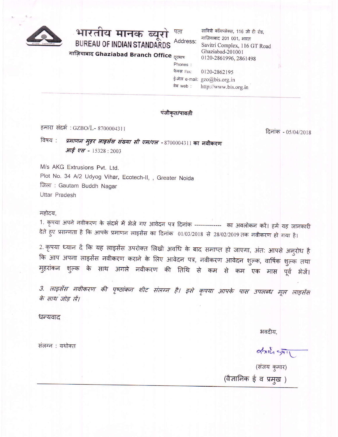

भारतीय मानक ब्यूरो Address:

**BUREAU OF INDIAN STANDARDS** 

सावित्री कॉमप्लेक्स, 116 जी टी रोड, गाज़ियाबाद 201 001, भारत Savitri Complex, 116 GT Road Ghaziabad-201001 0120-2861996, 2861498

गाज़ियाबाद Ghaziabad Branch Office <sub>दूरभाष</sub>

| Phones:    |                              |
|------------|------------------------------|
| फैक्स Fax: | 0120-2862195                 |
|            | ई-मेल e-mail: gzo@bis.org.in |
| वेब web :  | http://www.bis.org.in        |

### पंजीकृत/पावती

हमारा संदर्भ: GZBO/L- 8700004311

*प्रमाणन मुहर लाइसेंस संख्या सी एम/एल -* 8700004311 का नवीकरण विषय : आई एस - 15328:2003

M/s AKG Extrusions Pvt. Ltd. Plot No. 34 A/2 Udyog Vihar, Ecotech-II, , Greater Noida जिला: Gautam Buddh Nagar Uttar Pradesh

#### महोदय,

1. कृपया अपने नवीकरण के संदर्भ में भेजे गए आवेदन पत्र दिनांक -------------- का अवलोकन करें। हमें यह जानकारी देते हुए प्रसन्नता है कि आपके प्रमाणन लाइसेंस का दिनांक 01/03/2018 से 28/02/2019 तक नवीकरण हो गया है।

2. कृपया ध्यान दें कि यह लाइसेंस उपरोक्त लिखी अवधि के बाद समाप्त हो जाएगा, अंत: आपसे अनुरोध है कि आप अपना लाइसेंस नवीकरण कराने के लिए आवेदन पत्र, नवीकरण आवेदन शुल्क, वार्षिक शुल्क तथा मुहरांकन शुल्क के साथ अगले नवीकरण की तिथि से कम से कम एक मास पूर्व भेजें।

3. लाइसेंस नवीकरण की पृष्ठांकन शीट संलग्न है। इसे कृपया आपके पास उपलब्ध मूल लाइसेंस के साथ जोड़ लें।

धन्यवाद

भवदीय.

संलग्न : यथोक्त

 $\alpha$ (संजय कुमार)

दिनांक - 05/04/2018

(वैज्ञानिक ई व प्रमुख)